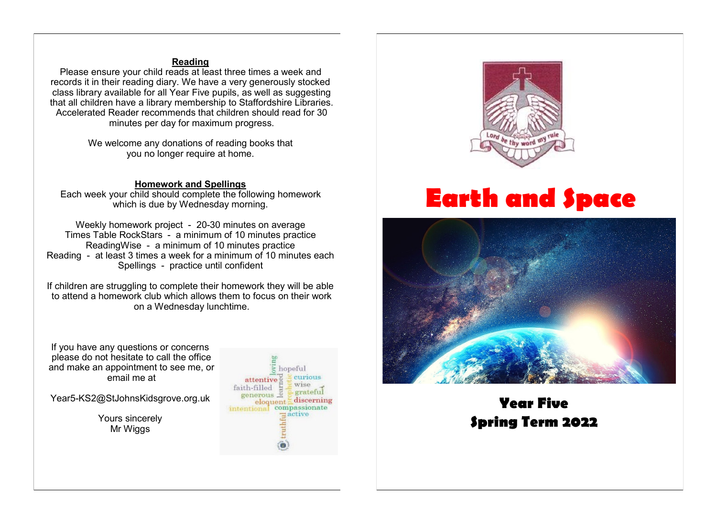# **Reading**

Please ensure your child reads at least three times a week and records it in their reading diary. We have a very generously stocked class library available for all Year Five pupils, as well as suggesting that all children have a library membership to Staffordshire Libraries. Accelerated Reader recommends that children should read for 30 minutes per day for maximum progress.

> We welcome any donations of reading books that you no longer require at home.

#### **Homework and Spellings**

Each week your child should complete the following homework which is due by Wednesday morning.

Weekly homework project - 20-30 minutes on average Times Table RockStars - a minimum of 10 minutes practice ReadingWise - a minimum of 10 minutes practice Reading - at least 3 times a week for a minimum of 10 minutes each Spellings - practice until confident

If children are struggling to complete their homework they will be able to attend a homework club which allows them to focus on their work on a Wednesday lunchtime.

If you have any questions or concerns please do not hesitate to call the office and make an appointment to see me, or email me at

Year5-KS2@StJohnsKidsgrove.org.uk

Yours sincerely Mr Wiggs





# **Earth and Space**



# **Year Five Spring Term 2022**